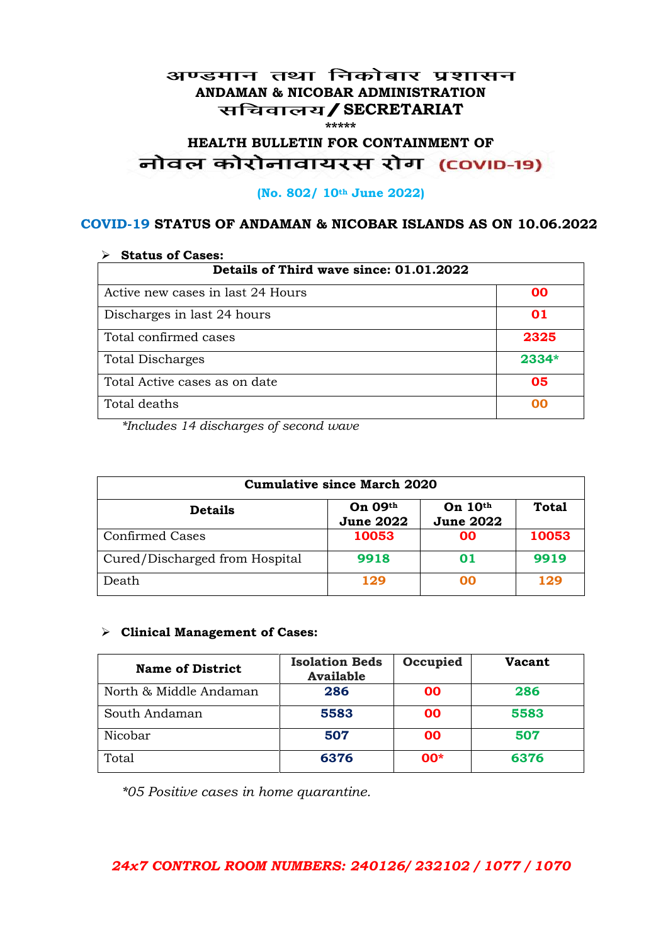#### अण्डमान तथा निकोबार प्रशासन **ANDAMAN & NICOBAR ADMINISTRATION /SECRETARIAT \*\*\*\*\***

# HEALTH BULLETIN FOR CONTAINMENT OF<br>बोवल कोरोनावायरस रोग (COVID-19)

#### **(No. 802/ 10th June 2022)**

### **COVID-19 STATUS OF ANDAMAN & NICOBAR ISLANDS AS ON 10.06.2022**

| <b>Status of Cases:</b>                 |       |  |
|-----------------------------------------|-------|--|
| Details of Third wave since: 01.01.2022 |       |  |
| Active new cases in last 24 Hours       | 00    |  |
| Discharges in last 24 hours             | 01    |  |
| Total confirmed cases                   | 2325  |  |
| <b>Total Discharges</b>                 | 2334* |  |
| Total Active cases as on date           | 05    |  |
| Total deaths                            | OO    |  |

*\*Includes 14 discharges of second wave*

| <b>Cumulative since March 2020</b> |                             |                               |              |
|------------------------------------|-----------------------------|-------------------------------|--------------|
| <b>Details</b>                     | On 09th<br><b>June 2022</b> | On $10th$<br><b>June 2022</b> | <b>Total</b> |
| <b>Confirmed Cases</b>             | 10053                       | 00                            | 10053        |
| Cured/Discharged from Hospital     | 9918                        | 01                            | 9919         |
| Death                              | 129                         | ററ                            | 129          |

#### **Clinical Management of Cases:**

| <b>Name of District</b> | <b>Isolation Beds</b><br><b>Available</b> | Occupied  | Vacant |
|-------------------------|-------------------------------------------|-----------|--------|
| North & Middle Andaman  | 286                                       | <b>OO</b> | 286    |
| South Andaman           | 5583                                      | <b>OO</b> | 5583   |
| Nicobar                 | 507                                       | <b>OO</b> | 507    |
| Total                   | 6376                                      | $00*$     | 6376   |

*\*05 Positive cases in home quarantine.*

### *24x7 CONTROL ROOM NUMBERS: 240126/ 232102 / 1077 / 1070*